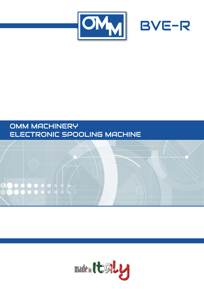



# OMM MACHINERY ELECTRONIC SPOOLING MACHINE



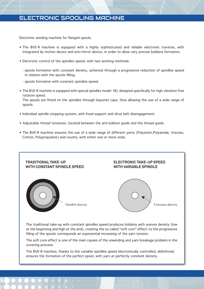### **ELECTRONIC SPOOLING MACHINE**

Electronic winding machine for flanged spools.

- The BVE-R machine is equipped with a highly sophisticated and reliable electronic traverse, with integrated lip motion device and anti-mirror device, in order to allow very precise bobbins formation.
- Electronic control of the spindles speed, with two working methods:
	- spools formation with constant density, achieved through a progressive reduction of spindles speed in relation with the spools filling.
	- spools formation with constant spindles speed.
- The BVE-R machine is equipped with special spindles model HD, designed specifically for high vibration-free rotation speed.

The spools are fitted on the spindles through bayonet caps, thus allowing the use of a wide range of spools.

- . Individual spindle stopping system, with fixed support and drive belt disengagement.
- Adjustable thread tensioner, located between the anti-balloon quide and the thread quide.
- The BVE-R machine ensures the use of a wide range of different yarns (Polyester, Polyamide, Viscose, Cotton, Polypropylene) and counts, with either one or more ends.



The traditional take-up with constant spindles speed produces bobbins with uneven density (low at the beginning and high at the end), creating the so called "soft core" effect: to the progressive filling of the spools corresponds an exponential increasing of the yarn tension.

The soft core effect is one of the main causes of the unwinding and yarn breakage problem in the covering process.

The BVE-R machine, thanks to the variable spindles speed electronically controlled, definitively ensures the formation of the perfect spool, with yarn at perfectly constant density.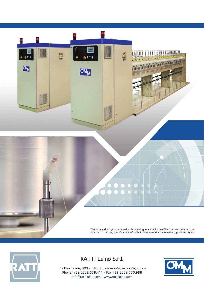

The data and images contained in this catalogue are indicative. The company reserves the right of making any modifications of technical-construction type without previous notice.



## **RATTI Luino S.r.l.**

Via Provinciale, 309 - 21030 Cassano Valcuvia (VA) - Italy Phone: +39 0332 538.411 - Fax +39 0332 530.988 info@rattiluino.com - www.rattiluino.com